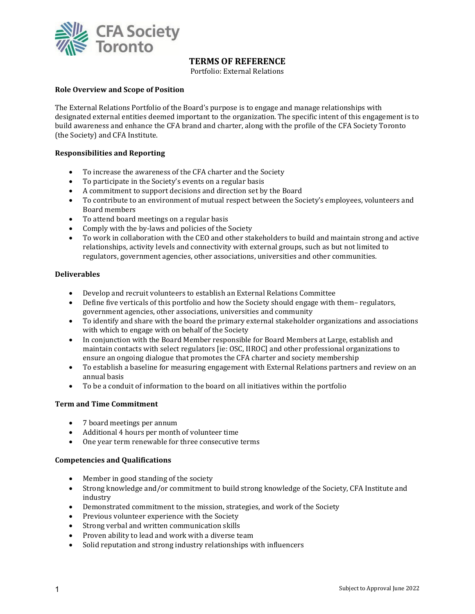

# **TERMS OF REFERENCE**

Portfolio: External Relations

#### **Role Overview and Scope of Position**

The External Relations Portfolio of the Board's purpose is to engage and manage relationships with designated external entities deemed important to the organization. The specific intent of this engagement is to build awareness and enhance the CFA brand and charter, along with the profile of the CFA Society Toronto (the Society) and CFA Institute.

## **Responsibilities and Reporting**

- To increase the awareness of the CFA charter and the Society
- To participate in the Society's events on a regular basis
- A commitment to support decisions and direction set by the Board
- To contribute to an environment of mutual respect between the Society's employees, volunteers and Board members
- To attend board meetings on a regular basis
- Comply with the by-laws and policies of the Society<br>• To work in collaboration with the CEO and other sta
- To work in collaboration with the CEO and other stakeholders to build and maintain strong and active relationships, activity levels and connectivity with external groups, such as but not limited to regulators, government agencies, other associations, universities and other communities.

## **Deliverables**

- Develop and recruit volunteers to establish an External Relations Committee
- Define five verticals of this portfolio and how the Society should engage with them– regulators, government agencies, other associations, universities and community
- To identify and share with the board the primary external stakeholder organizations and associations with which to engage with on behalf of the Society
- In conjunction with the Board Member responsible for Board Members at Large, establish and maintain contacts with select regulators [ie: OSC, IIROC] and other professional organizations to ensure an ongoing dialogue that promotes the CFA charter and society membership
- To establish a baseline for measuring engagement with External Relations partners and review on an annual basis
- To be a conduit of information to the board on all initiatives within the portfolio

## **Term and Time Commitment**

- 7 board meetings per annum
- Additional 4 hours per month of volunteer time
- One year term renewable for three consecutive terms

## **Competencies and Qualifications**

- Member in good standing of the society
- Strong knowledge and/or commitment to build strong knowledge of the Society, CFA Institute and industry
- Demonstrated commitment to the mission, strategies, and work of the Society
- Previous volunteer experience with the Society
- Strong verbal and written communication skills
- Proven ability to lead and work with a diverse team
- Solid reputation and strong industry relationships with influencers